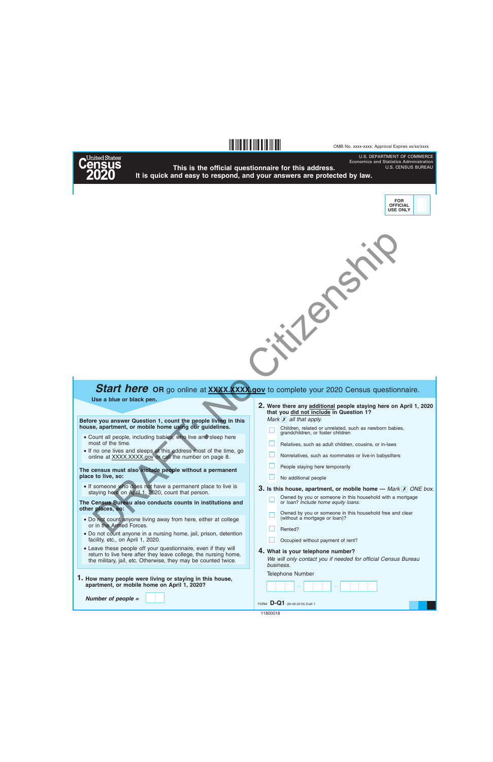#### OMB No. xxxx-xxxx: Approval Expires xx/xx/xxxx

U.S. DEPARTMENT OF COMMERCE Economics and Statistics Administration



## **This is the official questionnaire for this address. It is quick and easy to respond, and your answers are protected by law.**

**§,q!3¤**



U.S. CENSUS BUREAU



# **Start here** OR go online at **XXXX.XXX.gov** to complete your 2020 Census questionnaire.

### **Use a blue or black pen.**

**Before you answer Question 1, count the people living in this house, apartment, or mobile home using our guidelines.**

- Count all people, including babies, who live and sleep here most of the time.
- If no one lives and sleeps at this address most of the time, go online at XXXX.XXXX.gov or call the number on page 8.

**The census must also include people without a permanent place to live, so:**

• If someone who does not have a permanent place to live is staying here on April 1, 2020, count that person.

**The Census Bureau also conducts counts in institutions and other places, so:**

- Do not count anyone living away from here, either at college or in the Armed Forces.
- Do not count anyone in a nursing home, jail, prison, detention facility, etc., on April 1, 2020.
- Leave these people off your questionnaire, even if they will return to live here after they leave college, the nursing home, the military, jail, etc. Otherwise, they may be counted twice.
- **1. How many people were living or staying in this house, apartment, or mobile home on April 1, 2020?**

*Number of people =*

*Mark* **X** all that apply. **Were there any additional people staying here on April 1, 2020 2. that you did not include in Question 1?**

Children, related or unrelated, such as newborn babies, grandchildren, or foster children

- 
- Relatives, such as adult children, cousins, or in-laws
- Nonrelatives, such as roommates or live-in babysitters
- People staying here temporarily
- No additional people

**3.** Is this house, apartment, or mobile home  $-$  *Mark*  $\overline{X}$  *ONE box.* 

- Owned by you or someone in this household with a mortgage or loan? *Include home equity loans.*
- Owned by you or someone in this household free and clear (without a mortgage or loan)?
- Rented?
- Occupied without payment of rent?

### **4. What is your telephone number?**

*We will only contact you if needed for official Census Bureau business.*

Telephone Number

– –

FORM **D-Q1** (02-05-2019) Draft 1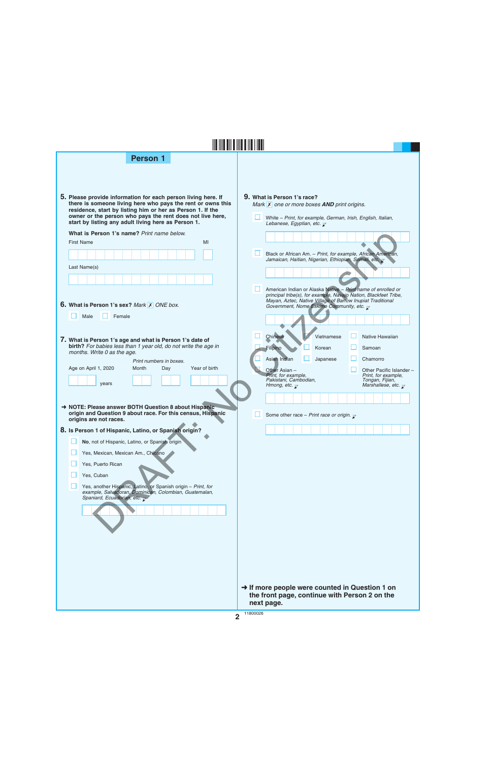| <b>Person 1</b>                                                                                                                                                                                                                                                                                                |                                                                                                                                                                                                                     |
|----------------------------------------------------------------------------------------------------------------------------------------------------------------------------------------------------------------------------------------------------------------------------------------------------------------|---------------------------------------------------------------------------------------------------------------------------------------------------------------------------------------------------------------------|
|                                                                                                                                                                                                                                                                                                                |                                                                                                                                                                                                                     |
| 5. Please provide information for each person living here. If<br>there is someone living here who pays the rent or owns this<br>residence, start by listing him or her as Person 1. If the<br>owner or the person who pays the rent does not live here,<br>start by listing any adult living here as Person 1. | 9. What is Person 1's race?<br>Mark $\overline{X}$ one or more boxes <b>AND</b> print origins.<br>White - Print, for example, German, Irish, English, Italian,<br>Lebanese, Egyptian, etc. $\overline{\mathcal{L}}$ |
| What is Person 1's name? Print name below.<br><b>First Name</b><br>MI                                                                                                                                                                                                                                          |                                                                                                                                                                                                                     |
|                                                                                                                                                                                                                                                                                                                | Black or African Am. - Print, for example, African American,<br>Jamaican, Haitian, Nigerian, Ethiopian, Somali, etc.                                                                                                |
| Last Name(s)                                                                                                                                                                                                                                                                                                   |                                                                                                                                                                                                                     |
|                                                                                                                                                                                                                                                                                                                | American Indian or Alaska Native - Print name of enrolled or<br>principal tribe(s), for example, Navajo Nation, Blackfeet Tribe,                                                                                    |
| <b>6. What is Person 1's sex? Mark X ONE box.</b>                                                                                                                                                                                                                                                              | Mayan, Aztec, Native Village of Barrow Inupiat Traditional<br>Government, Nome Eskimo Community, etc. $\bar{x}$                                                                                                     |
| Male<br>Female                                                                                                                                                                                                                                                                                                 |                                                                                                                                                                                                                     |
| 7. What is Person 1's age and what is Person 1's date of<br>birth? For babies less than 1 year old, do not write the age in<br>months. Write 0 as the age.                                                                                                                                                     | Chinese<br>Vietnamese<br>Native Hawaiian<br>Filipino<br>Korean<br>Samoan                                                                                                                                            |
| Print numbers in boxes.<br>Age on April 1, 2020<br>Year of birth<br>Month<br>Day                                                                                                                                                                                                                               | Chamorro<br>Asian Indian<br>Japanese<br>Other Asian -<br>Other Pacific Islander -                                                                                                                                   |
| years                                                                                                                                                                                                                                                                                                          | Print, for example,<br>Print, for example,<br>Pakistani, Cambodian,<br>Tongan, Fijian,<br>Marshallese, etc. $\overline{\mathcal{L}}$<br>Hmong, etc. $\overline{\mathcal{C}}$                                        |
| NOTE: Please answer BOTH Question 8 about Hispanic-<br>origin and Question 9 about race. For this census, Hispanic<br>origins are not races.                                                                                                                                                                   | Some other race - Print race or origin. $\overline{\mathcal{L}}$                                                                                                                                                    |
| 8. Is Person 1 of Hispanic, Latino, or Spanish origin?                                                                                                                                                                                                                                                         |                                                                                                                                                                                                                     |
| No, not of Hispanic, Latino, or Spanish origin<br>Yes, Mexican, Mexican Am., Chicano                                                                                                                                                                                                                           |                                                                                                                                                                                                                     |
| Yes, Puerto Rican                                                                                                                                                                                                                                                                                              |                                                                                                                                                                                                                     |
| Yes, Cuban<br>Yes, another Hispanic, Latino, or Spanish origin - Print, for                                                                                                                                                                                                                                    |                                                                                                                                                                                                                     |
| example, Salvadoran, Dominican, Colombian, Guatemalan,<br>Spaniard, Ecuadorian, etc.                                                                                                                                                                                                                           |                                                                                                                                                                                                                     |
|                                                                                                                                                                                                                                                                                                                |                                                                                                                                                                                                                     |
|                                                                                                                                                                                                                                                                                                                |                                                                                                                                                                                                                     |
|                                                                                                                                                                                                                                                                                                                |                                                                                                                                                                                                                     |
|                                                                                                                                                                                                                                                                                                                |                                                                                                                                                                                                                     |
|                                                                                                                                                                                                                                                                                                                | → If more people were counted in Question 1 on                                                                                                                                                                      |

**2** 11800026

**next page.**

**the front page, continue with Person 2 on the**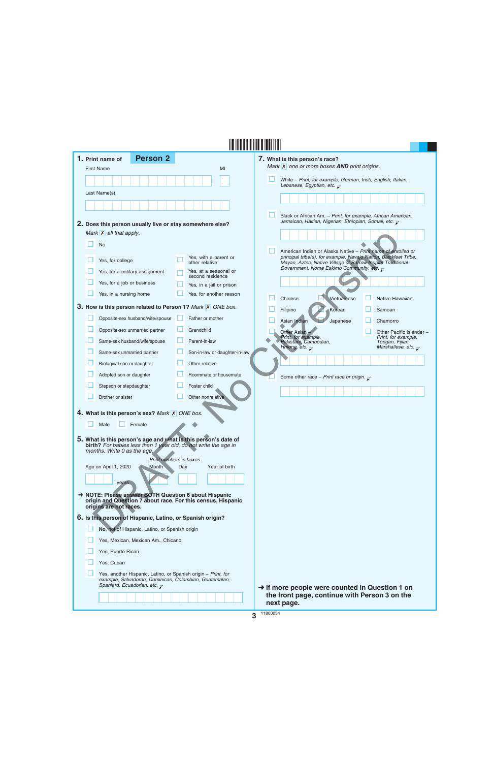|  | 1. Print name of                  | <b>Person 2</b>                                                                                     |     |                                                                                                                                   | 7. What is this person's race?                                                                                                 |                                            |
|--|-----------------------------------|-----------------------------------------------------------------------------------------------------|-----|-----------------------------------------------------------------------------------------------------------------------------------|--------------------------------------------------------------------------------------------------------------------------------|--------------------------------------------|
|  | <b>First Name</b>                 |                                                                                                     |     | MI                                                                                                                                | Mark X one or more boxes AND print origins.                                                                                    |                                            |
|  |                                   |                                                                                                     |     |                                                                                                                                   | White - Print, for example, German, Irish, English, Italian,<br>Lebanese, Egyptian, etc. $\overline{\mathcal{L}}$              |                                            |
|  | Last Name(s)                      |                                                                                                     |     |                                                                                                                                   |                                                                                                                                |                                            |
|  |                                   |                                                                                                     |     |                                                                                                                                   |                                                                                                                                |                                            |
|  |                                   |                                                                                                     |     |                                                                                                                                   | Black or African Am. - Print, for example, African American,                                                                   |                                            |
|  |                                   | 2. Does this person usually live or stay somewhere else?                                            |     |                                                                                                                                   | Jamaican, Haitian, Nigerian, Ethiopian, Somali, etc. $\bar{\chi}$                                                              |                                            |
|  | Mark $\mathsf{X}$ all that apply. |                                                                                                     |     |                                                                                                                                   |                                                                                                                                |                                            |
|  | <b>No</b>                         |                                                                                                     |     |                                                                                                                                   | American Indian or Alaska Native - Print name of enrolled or                                                                   |                                            |
|  | Yes, for college                  |                                                                                                     |     | Yes, with a parent or<br>other relative                                                                                           | principal tribe(s), for example, Navajo Nation, Blackfeet Tribe,<br>Mayan, Aztec, Native Village of Barrow Inupiat Traditional |                                            |
|  |                                   | Yes, for a military assignment                                                                      |     | Yes, at a seasonal or<br>second residence                                                                                         | Government, Nome Eskimo Community, etc. $\overline{\mathcal{L}}$                                                               |                                            |
|  | Yes, for a job or business        |                                                                                                     |     | Yes, in a jail or prison                                                                                                          |                                                                                                                                |                                            |
|  | Yes, in a nursing home            |                                                                                                     |     | Yes, for another reason                                                                                                           | Vietnamese<br>Chinese                                                                                                          | Native Hawaiian                            |
|  |                                   |                                                                                                     |     | 3. How is this person related to Person 1? Mark X ONE box.                                                                        | Filipino<br>Korean                                                                                                             | Samoan                                     |
|  |                                   | Opposite-sex husband/wife/spouse                                                                    |     | Father or mother                                                                                                                  | Asian Indian<br>Japanese                                                                                                       | Chamorro                                   |
|  |                                   | Opposite-sex unmarried partner                                                                      |     | Grandchild                                                                                                                        | Other Asian                                                                                                                    | Other Pacific Islander -                   |
|  |                                   | Same-sex husband/wife/spouse                                                                        |     | Parent-in-law                                                                                                                     | Print, for example,<br>Pakistani, Cambodian,                                                                                   | Print, for example,<br>Tongan, Fijian,     |
|  | Same-sex unmarried partner        |                                                                                                     |     | Son-in-law or daughter-in-law                                                                                                     | Hmong, etc. $\overline{\mathcal{L}}$                                                                                           | Marshallese, etc. $\overline{\mathcal{L}}$ |
|  | Biological son or daughter        |                                                                                                     |     | Other relative                                                                                                                    |                                                                                                                                |                                            |
|  | Adopted son or daughter           |                                                                                                     |     | Roommate or housemate                                                                                                             | Some other race - Print race or origin. $\mathbf{r}$                                                                           |                                            |
|  | Stepson or stepdaughter           |                                                                                                     |     | Foster child                                                                                                                      |                                                                                                                                |                                            |
|  | Brother or sister                 |                                                                                                     |     | Other nonrelative                                                                                                                 |                                                                                                                                |                                            |
|  |                                   | 4. What is this person's sex? Mark X ONE box.                                                       |     |                                                                                                                                   |                                                                                                                                |                                            |
|  | Male                              | Female                                                                                              |     |                                                                                                                                   |                                                                                                                                |                                            |
|  |                                   |                                                                                                     |     |                                                                                                                                   |                                                                                                                                |                                            |
|  |                                   |                                                                                                     |     | 5. What is this person's age and what is this person's date of<br>birth? For babies less than 1 year old, do not write the age in |                                                                                                                                |                                            |
|  | months. Write 0 as the age.       | Print numbers in boxes.                                                                             |     |                                                                                                                                   |                                                                                                                                |                                            |
|  | Age on April 1, 2020              | <b>Month</b>                                                                                        | Day | Year of birth                                                                                                                     |                                                                                                                                |                                            |
|  | years                             |                                                                                                     |     |                                                                                                                                   |                                                                                                                                |                                            |
|  |                                   |                                                                                                     |     | → NOTE: Please answer BOTH Question 6 about Hispanic                                                                              |                                                                                                                                |                                            |
|  | origins are not races.            |                                                                                                     |     | origin and Question 7 about race. For this census, Hispanic                                                                       |                                                                                                                                |                                            |
|  |                                   | 6. Is this person of Hispanic, Latino, or Spanish origin?                                           |     |                                                                                                                                   |                                                                                                                                |                                            |
|  |                                   | No, not of Hispanic, Latino, or Spanish origin                                                      |     |                                                                                                                                   |                                                                                                                                |                                            |
|  |                                   | Yes, Mexican, Mexican Am., Chicano                                                                  |     |                                                                                                                                   |                                                                                                                                |                                            |
|  | Yes, Puerto Rican                 |                                                                                                     |     |                                                                                                                                   |                                                                                                                                |                                            |
|  | Yes, Cuban                        |                                                                                                     |     |                                                                                                                                   |                                                                                                                                |                                            |
|  |                                   | Yes, another Hispanic, Latino, or Spanish origin - Print, for                                       |     |                                                                                                                                   |                                                                                                                                |                                            |
|  |                                   | example, Salvadoran, Dominican, Colombian, Guatemalan,<br>Spaniard, Ecuadorian, etc. $\overline{z}$ |     |                                                                                                                                   | $\rightarrow$ If more people were counted in Question 1 on                                                                     |                                            |
|  |                                   |                                                                                                     |     |                                                                                                                                   | the front page, continue with Person 3 on the                                                                                  |                                            |
|  |                                   |                                                                                                     |     |                                                                                                                                   | next page.                                                                                                                     |                                            |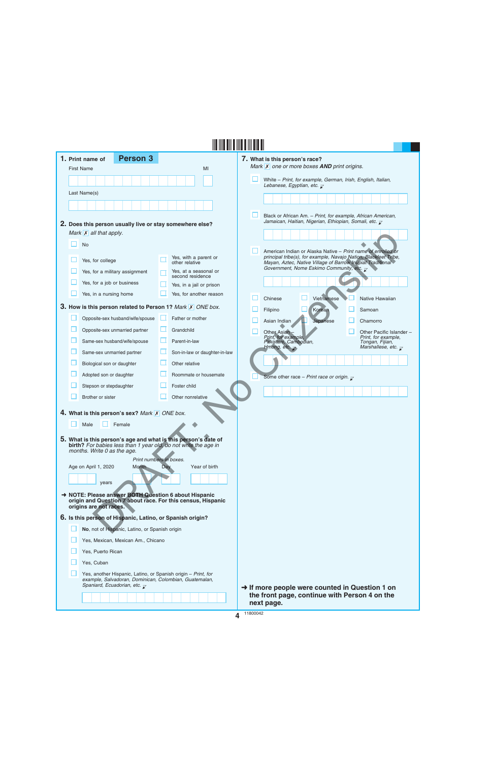|  | <b>Person 3</b><br>1. Print name of                                                                                               |     |                                           | 7. What is this person's race?                                                                                                           |
|--|-----------------------------------------------------------------------------------------------------------------------------------|-----|-------------------------------------------|------------------------------------------------------------------------------------------------------------------------------------------|
|  | <b>First Name</b>                                                                                                                 |     | MI                                        | Mark <b>X</b> one or more boxes <b>AND</b> print origins.                                                                                |
|  |                                                                                                                                   |     |                                           | White - Print, for example, German, Irish, English, Italian,<br>Lebanese, Egyptian, etc. $\mathbb Z$                                     |
|  | Last Name(s)                                                                                                                      |     |                                           |                                                                                                                                          |
|  |                                                                                                                                   |     |                                           |                                                                                                                                          |
|  |                                                                                                                                   |     |                                           | Black or African Am. - Print, for example, African American,<br>Jamaican, Haitian, Nigerian, Ethiopian, Somali, etc. $\bar{\mathcal{L}}$ |
|  | 2. Does this person usually live or stay somewhere else?                                                                          |     |                                           |                                                                                                                                          |
|  | Mark $\overline{X}$ all that apply.                                                                                               |     |                                           |                                                                                                                                          |
|  | <b>No</b>                                                                                                                         |     |                                           | American Indian or Alaska Native - Print name of enrolled or                                                                             |
|  | Yes, for college                                                                                                                  |     | Yes, with a parent or<br>other relative   | principal tribe(s), for example, Navajo Nation, Blackfeet Tribe,<br>Mayan, Aztec, Native Village of Barrow Inupiat Traditional           |
|  | Yes, for a military assignment                                                                                                    |     | Yes, at a seasonal or<br>second residence | Government, Nome Eskimo Community, etc. $\overline{\mathcal{L}}$                                                                         |
|  | Yes, for a job or business                                                                                                        |     | Yes, in a jail or prison                  |                                                                                                                                          |
|  | Yes, in a nursing home                                                                                                            |     | Yes, for another reason                   | Vietnamese<br>Chinese<br>Native Hawaiian                                                                                                 |
|  | 3. How is this person related to Person 1? Mark X ONE box.                                                                        |     |                                           | Korean<br>Filipino<br>Samoan                                                                                                             |
|  | Opposite-sex husband/wife/spouse                                                                                                  |     | Father or mother                          | Asian Indian<br>Japanese<br>Chamorro                                                                                                     |
|  | Opposite-sex unmarried partner                                                                                                    | ப   | Grandchild                                | Other Asian<br>Other Pacific Islander -                                                                                                  |
|  | Same-sex husband/wife/spouse                                                                                                      |     | Parent-in-law                             | Print, for example,<br>Print, for example,<br>Pakistani, Cambodian,<br>Tongan, Fijian,                                                   |
|  | Same-sex unmarried partner                                                                                                        |     | Son-in-law or daughter-in-law             | Hmong, etc. $\overline{\mathcal{L}}$<br>Marshallese, etc. $\overline{\mathcal{C}}$                                                       |
|  | Biological son or daughter                                                                                                        |     | Other relative                            |                                                                                                                                          |
|  | Adopted son or daughter                                                                                                           |     | Roommate or housemate                     | Some other race - Print race or origin. $\bar{\mathbf{z}}$                                                                               |
|  | Stepson or stepdaughter                                                                                                           |     | Foster child                              |                                                                                                                                          |
|  | Brother or sister                                                                                                                 |     | Other nonrelative                         |                                                                                                                                          |
|  | 4. What is this person's sex? Mark X ONE box.                                                                                     |     |                                           |                                                                                                                                          |
|  | Male<br>Female                                                                                                                    |     |                                           |                                                                                                                                          |
|  |                                                                                                                                   |     |                                           |                                                                                                                                          |
|  | 5. What is this person's age and what is this person's date of<br>birth? For babies less than 1 year old, do not write the age in |     |                                           |                                                                                                                                          |
|  | months. Write 0 as the age.<br>Print numbers in boxes.                                                                            |     |                                           |                                                                                                                                          |
|  | Age on April 1, 2020<br><b>Month</b>                                                                                              | Day | Year of birth                             |                                                                                                                                          |
|  | years                                                                                                                             |     |                                           |                                                                                                                                          |
|  | → NOTE: Please answer BOTH Question 6 about Hispanic                                                                              |     |                                           |                                                                                                                                          |
|  | origin and Question 7 about race. For this census, Hispanic<br>origins are not races.                                             |     |                                           |                                                                                                                                          |
|  | 6. Is this person of Hispanic, Latino, or Spanish origin?                                                                         |     |                                           |                                                                                                                                          |
|  | No, not of Hispanic, Latino, or Spanish origin                                                                                    |     |                                           |                                                                                                                                          |
|  | Yes, Mexican, Mexican Am., Chicano                                                                                                |     |                                           |                                                                                                                                          |
|  | Yes, Puerto Rican                                                                                                                 |     |                                           |                                                                                                                                          |
|  | Yes, Cuban                                                                                                                        |     |                                           |                                                                                                                                          |
|  | Yes, another Hispanic, Latino, or Spanish origin - Print, for<br>example, Salvadoran, Dominican, Colombian, Guatemalan,           |     |                                           |                                                                                                                                          |
|  | Spaniard, Ecuadorian, etc. $\bar{z}$                                                                                              |     |                                           | → If more people were counted in Question 1 on                                                                                           |
|  |                                                                                                                                   |     |                                           | the front page, continue with Person 4 on the<br>next page.                                                                              |

**4** 11800042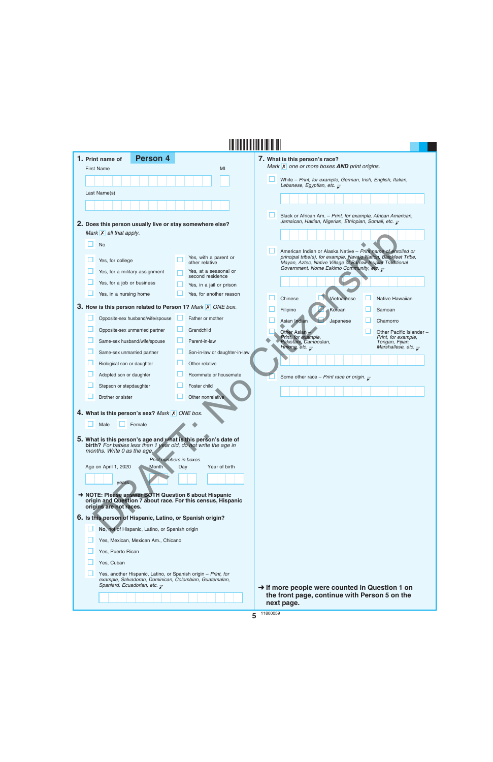| 1. Print name of                               | <b>Person 4</b>                                                                                               |     |                                                                                                                                   | 7. What is this person's race?                                                                                                 |                                                                                      |
|------------------------------------------------|---------------------------------------------------------------------------------------------------------------|-----|-----------------------------------------------------------------------------------------------------------------------------------|--------------------------------------------------------------------------------------------------------------------------------|--------------------------------------------------------------------------------------|
| <b>First Name</b>                              |                                                                                                               |     | MI                                                                                                                                | Mark $\overline{X}$ one or more boxes <b>AND</b> print origins.                                                                |                                                                                      |
|                                                |                                                                                                               |     |                                                                                                                                   | White - Print, for example, German, Irish, English, Italian,<br>Lebanese, Egyptian, etc. $\overline{\mathcal{L}}$              |                                                                                      |
| Last Name(s)                                   |                                                                                                               |     |                                                                                                                                   |                                                                                                                                |                                                                                      |
|                                                |                                                                                                               |     |                                                                                                                                   |                                                                                                                                |                                                                                      |
|                                                |                                                                                                               |     |                                                                                                                                   | Black or African Am. - Print, for example, African American,                                                                   |                                                                                      |
|                                                | 2. Does this person usually live or stay somewhere else?                                                      |     |                                                                                                                                   | Jamaican, Haitian, Nigerian, Ethiopian, Somali, etc. $\bar{\mathcal{L}}$                                                       |                                                                                      |
| Mark $\mathsf{X}$ all that apply.<br><b>No</b> |                                                                                                               |     |                                                                                                                                   |                                                                                                                                |                                                                                      |
|                                                |                                                                                                               |     |                                                                                                                                   | American Indian or Alaska Native - Print name of enrolled or                                                                   |                                                                                      |
| Yes, for college                               |                                                                                                               |     | Yes, with a parent or<br>other relative                                                                                           | principal tribe(s), for example, Navajo Nation, Blackfeet Tribe,<br>Mayan, Aztec, Native Village of Barrow Inupiat Traditional |                                                                                      |
|                                                | Yes, for a military assignment                                                                                |     | Yes, at a seasonal or<br>second residence                                                                                         | Government, Nome Eskimo Community, etc. $\overline{\smile}$                                                                    |                                                                                      |
| Yes, for a job or business                     |                                                                                                               |     | Yes, in a jail or prison                                                                                                          |                                                                                                                                |                                                                                      |
| Yes, in a nursing home                         |                                                                                                               |     | Yes, for another reason                                                                                                           | Vietnamese<br>Chinese                                                                                                          | Native Hawaiian                                                                      |
|                                                |                                                                                                               |     | 3. How is this person related to Person 1? Mark X ONE box.                                                                        | Filipino<br>Korean                                                                                                             | Samoan                                                                               |
|                                                | Opposite-sex husband/wife/spouse                                                                              |     | Father or mother                                                                                                                  | Asian Indian<br>Japanese                                                                                                       | Chamorro                                                                             |
|                                                | Opposite-sex unmarried partner                                                                                |     | Grandchild                                                                                                                        | Other Asian                                                                                                                    | Other Pacific Islander -                                                             |
|                                                | Same-sex husband/wife/spouse                                                                                  |     | Parent-in-law                                                                                                                     | Print, for example,<br>Pakistani, Cambodian,<br>Hmong, etc. $\overline{\mathcal{K}}$                                           | Print, for example,<br>Tongan, Fijian,<br>Marshallese, etc. $\overline{\mathcal{L}}$ |
|                                                | Same-sex unmarried partner                                                                                    |     | Son-in-law or daughter-in-law                                                                                                     |                                                                                                                                |                                                                                      |
| Biological son or daughter                     |                                                                                                               |     | Other relative                                                                                                                    |                                                                                                                                |                                                                                      |
| Adopted son or daughter                        |                                                                                                               |     | Roommate or housemate                                                                                                             | Some other race - Print race or origin. $\mathbf{r}$                                                                           |                                                                                      |
| Stepson or stepdaughter                        |                                                                                                               |     | Foster child                                                                                                                      |                                                                                                                                |                                                                                      |
| Brother or sister                              |                                                                                                               |     | Other nonrelative                                                                                                                 |                                                                                                                                |                                                                                      |
|                                                | 4. What is this person's sex? Mark X ONE box.                                                                 |     |                                                                                                                                   |                                                                                                                                |                                                                                      |
| Male                                           | Female                                                                                                        |     |                                                                                                                                   |                                                                                                                                |                                                                                      |
|                                                |                                                                                                               |     |                                                                                                                                   |                                                                                                                                |                                                                                      |
| months. Write 0 as the age.                    |                                                                                                               |     | 5. What is this person's age and what is this person's date of<br>birth? For babies less than 1 year old, do not write the age in |                                                                                                                                |                                                                                      |
|                                                | Print numbers in boxes.                                                                                       |     |                                                                                                                                   |                                                                                                                                |                                                                                      |
| Age on April 1, 2020                           | Month                                                                                                         | Day | Year of birth                                                                                                                     |                                                                                                                                |                                                                                      |
| years                                          |                                                                                                               |     |                                                                                                                                   |                                                                                                                                |                                                                                      |
|                                                |                                                                                                               |     | → NOTE: Please answer BOTH Question 6 about Hispanic                                                                              |                                                                                                                                |                                                                                      |
| origins are not races.                         |                                                                                                               |     | origin and Question 7 about race. For this census, Hispanic                                                                       |                                                                                                                                |                                                                                      |
|                                                | 6. Is this person of Hispanic, Latino, or Spanish origin?                                                     |     |                                                                                                                                   |                                                                                                                                |                                                                                      |
|                                                | No, not of Hispanic, Latino, or Spanish origin                                                                |     |                                                                                                                                   |                                                                                                                                |                                                                                      |
|                                                | Yes, Mexican, Mexican Am., Chicano                                                                            |     |                                                                                                                                   |                                                                                                                                |                                                                                      |
| Yes, Puerto Rican                              |                                                                                                               |     |                                                                                                                                   |                                                                                                                                |                                                                                      |
| Yes, Cuban                                     |                                                                                                               |     |                                                                                                                                   |                                                                                                                                |                                                                                      |
|                                                | Yes, another Hispanic, Latino, or Spanish origin - Print, for                                                 |     |                                                                                                                                   |                                                                                                                                |                                                                                      |
|                                                | example, Salvadoran, Dominican, Colombian, Guatemalan,<br>Spaniard, Ecuadorian, etc. $\overline{\mathcal{L}}$ |     |                                                                                                                                   | $\rightarrow$ If more people were counted in Question 1 on                                                                     |                                                                                      |
|                                                |                                                                                                               |     |                                                                                                                                   | the front page, continue with Person 5 on the                                                                                  |                                                                                      |
|                                                |                                                                                                               |     |                                                                                                                                   | next page.                                                                                                                     |                                                                                      |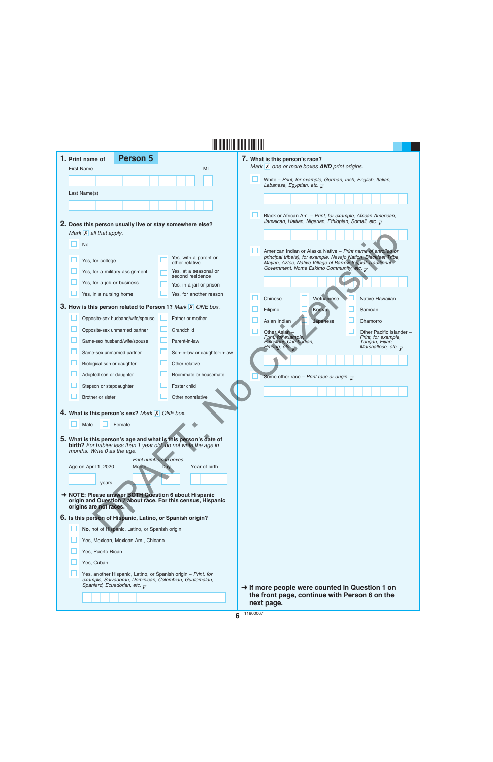|  | 1. Print name of                                          | <b>Person 5</b>                                |     |                                                                                                                                   | 7. What is this person's race?                                                                                                           |                                            |
|--|-----------------------------------------------------------|------------------------------------------------|-----|-----------------------------------------------------------------------------------------------------------------------------------|------------------------------------------------------------------------------------------------------------------------------------------|--------------------------------------------|
|  | <b>First Name</b>                                         |                                                |     | MI                                                                                                                                | Mark <b>X</b> one or more boxes <b>AND</b> print origins.                                                                                |                                            |
|  |                                                           |                                                |     |                                                                                                                                   | White - Print, for example, German, Irish, English, Italian,<br>Lebanese, Egyptian, etc. $\mathbb Z$                                     |                                            |
|  | Last Name(s)                                              |                                                |     |                                                                                                                                   |                                                                                                                                          |                                            |
|  |                                                           |                                                |     |                                                                                                                                   |                                                                                                                                          |                                            |
|  |                                                           |                                                |     |                                                                                                                                   | Black or African Am. - Print, for example, African American,<br>Jamaican, Haitian, Nigerian, Ethiopian, Somali, etc. $\bar{\mathcal{L}}$ |                                            |
|  | Mark $\overline{X}$ all that apply.                       |                                                |     | 2. Does this person usually live or stay somewhere else?                                                                          |                                                                                                                                          |                                            |
|  | <b>No</b>                                                 |                                                |     |                                                                                                                                   |                                                                                                                                          |                                            |
|  |                                                           |                                                |     |                                                                                                                                   | American Indian or Alaska Native - Print name of enrolled or                                                                             |                                            |
|  | Yes, for college                                          |                                                |     | Yes, with a parent or<br>other relative                                                                                           | principal tribe(s), for example, Navajo Nation, Blackfeet Tribe,<br>Mayan, Aztec, Native Village of Barrow Inupiat Traditional           |                                            |
|  | Yes, for a military assignment                            |                                                |     | Yes, at a seasonal or<br>second residence                                                                                         | Government, Nome Eskimo Community, etc. $\overline{\mathcal{L}}$                                                                         |                                            |
|  | Yes, for a job or business                                |                                                |     | Yes, in a jail or prison                                                                                                          |                                                                                                                                          |                                            |
|  | Yes, in a nursing home                                    |                                                |     | Yes, for another reason                                                                                                           | Vietnamese<br>Chinese                                                                                                                    | Native Hawaiian                            |
|  |                                                           |                                                |     | 3. How is this person related to Person 1? Mark X ONE box.                                                                        | Korean<br>Filipino                                                                                                                       | Samoan                                     |
|  | Opposite-sex husband/wife/spouse                          |                                                |     | Father or mother                                                                                                                  | Asian Indian<br>Japanese                                                                                                                 | Chamorro                                   |
|  | Opposite-sex unmarried partner                            |                                                | ப   | Grandchild                                                                                                                        | Other Asian                                                                                                                              | Other Pacific Islander -                   |
|  | Same-sex husband/wife/spouse                              |                                                |     | Parent-in-law                                                                                                                     | Print, for example,<br>Pakistani, Cambodian,                                                                                             | Print, for example,<br>Tongan, Fijian,     |
|  | Same-sex unmarried partner                                |                                                |     | Son-in-law or daughter-in-law                                                                                                     | Hmong, etc. $\overline{\mathcal{L}}$                                                                                                     | Marshallese, etc. $\overline{\mathcal{C}}$ |
|  | Biological son or daughter                                |                                                |     | Other relative                                                                                                                    |                                                                                                                                          |                                            |
|  | Adopted son or daughter                                   |                                                |     | Roommate or housemate                                                                                                             | Some other race - Print race or origin. $\bar{x}$                                                                                        |                                            |
|  | Stepson or stepdaughter                                   |                                                |     | Foster child                                                                                                                      |                                                                                                                                          |                                            |
|  | Brother or sister                                         |                                                |     | Other nonrelative                                                                                                                 |                                                                                                                                          |                                            |
|  | 4. What is this person's sex? Mark X ONE box.             |                                                |     |                                                                                                                                   |                                                                                                                                          |                                            |
|  | Male                                                      | Female                                         |     |                                                                                                                                   |                                                                                                                                          |                                            |
|  |                                                           |                                                |     |                                                                                                                                   |                                                                                                                                          |                                            |
|  |                                                           |                                                |     | 5. What is this person's age and what is this person's date of<br>birth? For babies less than 1 year old, do not write the age in |                                                                                                                                          |                                            |
|  | months. Write 0 as the age.                               |                                                |     |                                                                                                                                   |                                                                                                                                          |                                            |
|  | Age on April 1, 2020                                      | Print numbers in boxes.<br><b>Month</b>        | Day | Year of birth                                                                                                                     |                                                                                                                                          |                                            |
|  |                                                           |                                                |     |                                                                                                                                   |                                                                                                                                          |                                            |
|  | years                                                     |                                                |     |                                                                                                                                   |                                                                                                                                          |                                            |
|  |                                                           |                                                |     | → NOTE: Please answer BOTH Question 6 about Hispanic<br>origin and Question 7 about race. For this census, Hispanic               |                                                                                                                                          |                                            |
|  | origins are not races.                                    |                                                |     |                                                                                                                                   |                                                                                                                                          |                                            |
|  | 6. Is this person of Hispanic, Latino, or Spanish origin? |                                                |     |                                                                                                                                   |                                                                                                                                          |                                            |
|  |                                                           | No, not of Hispanic, Latino, or Spanish origin |     |                                                                                                                                   |                                                                                                                                          |                                            |
|  |                                                           | Yes, Mexican, Mexican Am., Chicano             |     |                                                                                                                                   |                                                                                                                                          |                                            |
|  | Yes, Puerto Rican                                         |                                                |     |                                                                                                                                   |                                                                                                                                          |                                            |
|  | Yes, Cuban                                                |                                                |     |                                                                                                                                   |                                                                                                                                          |                                            |
|  | Spaniard, Ecuadorian, etc. $\bar{z}$                      |                                                |     | Yes, another Hispanic, Latino, or Spanish origin - Print, for<br>example, Salvadoran, Dominican, Colombian, Guatemalan,           | → If more people were counted in Question 1 on                                                                                           |                                            |
|  |                                                           |                                                |     |                                                                                                                                   | the front page, continue with Person 6 on the<br>next page.                                                                              |                                            |

**6** 11800067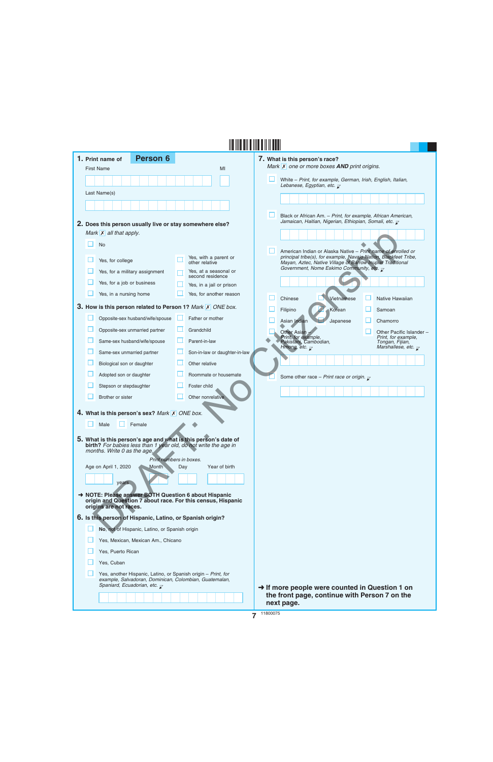|  | 1. Print name of                                                                                    | <b>Person 6</b>                         |     |                                                                                                                                | 7. What is this person's race?                                                                                                 |                                                                    |  |
|--|-----------------------------------------------------------------------------------------------------|-----------------------------------------|-----|--------------------------------------------------------------------------------------------------------------------------------|--------------------------------------------------------------------------------------------------------------------------------|--------------------------------------------------------------------|--|
|  | <b>First Name</b>                                                                                   |                                         |     | MI                                                                                                                             | Mark X one or more boxes AND print origins.                                                                                    |                                                                    |  |
|  |                                                                                                     |                                         |     |                                                                                                                                | White - Print, for example, German, Irish, English, Italian,<br>Lebanese, Egyptian, etc. $\overline{\mathcal{L}}$              |                                                                    |  |
|  | Last Name(s)                                                                                        |                                         |     |                                                                                                                                |                                                                                                                                |                                                                    |  |
|  |                                                                                                     |                                         |     |                                                                                                                                |                                                                                                                                |                                                                    |  |
|  |                                                                                                     |                                         |     |                                                                                                                                | Black or African Am. - Print, for example, African American,                                                                   |                                                                    |  |
|  | 2. Does this person usually live or stay somewhere else?                                            |                                         |     |                                                                                                                                | Jamaican, Haitian, Nigerian, Ethiopian, Somali, etc. $\bar{\chi}$                                                              |                                                                    |  |
|  | Mark $\mathsf{X}$ all that apply.                                                                   |                                         |     |                                                                                                                                |                                                                                                                                |                                                                    |  |
|  | <b>No</b>                                                                                           |                                         |     |                                                                                                                                | American Indian or Alaska Native - Print name of enrolled or                                                                   |                                                                    |  |
|  | Yes, for college                                                                                    |                                         |     | Yes, with a parent or<br>other relative                                                                                        | principal tribe(s), for example, Navajo Nation, Blackfeet Tribe,<br>Mayan, Aztec, Native Village of Barrow Inupiat Traditional |                                                                    |  |
|  | Yes, for a military assignment                                                                      |                                         |     | Yes, at a seasonal or<br>second residence                                                                                      | Government, Nome Eskimo Community, etc. $\overline{\mathcal{L}}$                                                               |                                                                    |  |
|  | Yes, for a job or business                                                                          |                                         |     | Yes, in a jail or prison                                                                                                       |                                                                                                                                |                                                                    |  |
|  | Yes, in a nursing home                                                                              |                                         |     | Yes, for another reason                                                                                                        |                                                                                                                                |                                                                    |  |
|  |                                                                                                     |                                         |     | 3. How is this person related to Person 1? Mark X ONE box.                                                                     | Vietnamese<br>Chinese                                                                                                          | Native Hawaiian                                                    |  |
|  | Opposite-sex husband/wife/spouse                                                                    |                                         |     | Father or mother                                                                                                               | Filipino<br>Korean                                                                                                             | Samoan                                                             |  |
|  | Opposite-sex unmarried partner                                                                      |                                         |     | Grandchild                                                                                                                     | Asian Indian<br>Japanese                                                                                                       | Chamorro                                                           |  |
|  | Same-sex husband/wife/spouse                                                                        |                                         |     | Parent-in-law                                                                                                                  | Other Asian<br>Print, for example,<br>Pakistani, Cambodian,                                                                    | Other Pacific Islander -<br>Print, for example,<br>Tongan, Fijian, |  |
|  | Same-sex unmarried partner                                                                          |                                         |     | Son-in-law or daughter-in-law                                                                                                  | Hmong, etc. $\overline{\mathcal{L}}$                                                                                           | Marshallese, etc. $\overline{\mathcal{L}}$                         |  |
|  | Biological son or daughter                                                                          |                                         |     | Other relative                                                                                                                 |                                                                                                                                |                                                                    |  |
|  | Adopted son or daughter                                                                             |                                         |     | Roommate or housemate                                                                                                          |                                                                                                                                |                                                                    |  |
|  | Stepson or stepdaughter                                                                             |                                         |     | Foster child                                                                                                                   | Some other race - Print race or origin. $\mathbf{r}$                                                                           |                                                                    |  |
|  | Brother or sister                                                                                   |                                         |     | Other nonrelative                                                                                                              |                                                                                                                                |                                                                    |  |
|  |                                                                                                     |                                         |     |                                                                                                                                |                                                                                                                                |                                                                    |  |
|  | 4. What is this person's sex? Mark X ONE box.                                                       |                                         |     |                                                                                                                                |                                                                                                                                |                                                                    |  |
|  | Female<br>Male                                                                                      |                                         |     |                                                                                                                                |                                                                                                                                |                                                                    |  |
|  |                                                                                                     |                                         |     | 5. What is this person's age and what is this person's date of birth? For babies less than 1 year old, do not write the age in |                                                                                                                                |                                                                    |  |
|  | months. Write 0 as the age.                                                                         |                                         |     |                                                                                                                                |                                                                                                                                |                                                                    |  |
|  | Age on April 1, 2020                                                                                | Print numbers in boxes.<br><b>Month</b> | Day | Year of birth                                                                                                                  |                                                                                                                                |                                                                    |  |
|  |                                                                                                     |                                         |     |                                                                                                                                |                                                                                                                                |                                                                    |  |
|  | years                                                                                               |                                         |     |                                                                                                                                |                                                                                                                                |                                                                    |  |
|  | → NOTE: Please answer BOTH Question 6 about Hispanic                                                |                                         |     | origin and Question 7 about race. For this census, Hispanic                                                                    |                                                                                                                                |                                                                    |  |
|  | origins are not races.                                                                              |                                         |     |                                                                                                                                |                                                                                                                                |                                                                    |  |
|  | 6. Is this person of Hispanic, Latino, or Spanish origin?                                           |                                         |     |                                                                                                                                |                                                                                                                                |                                                                    |  |
|  | No, not of Hispanic, Latino, or Spanish origin                                                      |                                         |     |                                                                                                                                |                                                                                                                                |                                                                    |  |
|  | Yes, Mexican, Mexican Am., Chicano                                                                  |                                         |     |                                                                                                                                |                                                                                                                                |                                                                    |  |
|  | Yes, Puerto Rican                                                                                   |                                         |     |                                                                                                                                |                                                                                                                                |                                                                    |  |
|  | Yes, Cuban                                                                                          |                                         |     |                                                                                                                                |                                                                                                                                |                                                                    |  |
|  | Yes, another Hispanic, Latino, or Spanish origin - Print, for                                       |                                         |     |                                                                                                                                |                                                                                                                                |                                                                    |  |
|  | example, Salvadoran, Dominican, Colombian, Guatemalan,<br>Spaniard, Ecuadorian, etc. $\overline{z}$ |                                         |     |                                                                                                                                | $\rightarrow$ If more people were counted in Question 1 on                                                                     |                                                                    |  |
|  |                                                                                                     |                                         |     |                                                                                                                                | the front page, continue with Person 7 on the                                                                                  |                                                                    |  |
|  |                                                                                                     |                                         |     |                                                                                                                                | next page.                                                                                                                     |                                                                    |  |